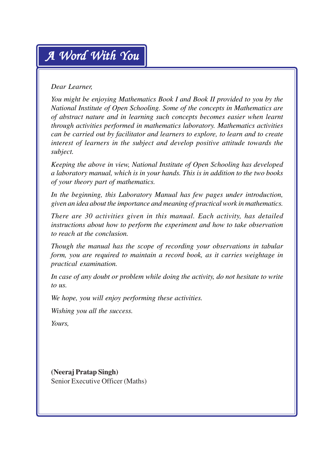# A Word With You

### *Dear Learner,*

*You might be enjoying Mathematics Book I and Book II provided to you by the National Institute of Open Schooling. Some of the concepts in Mathematics are of abstract nature and in learning such concepts becomes easier when learnt through activities performed in mathematics laboratory. Mathematics activities can be carried out by facilitator and learners to explore, to learn and to create interest of learners in the subject and develop positive attitude towards the subject.*

*Keeping the above in view, National Institute of Open Schooling has developed a laboratory manual, which is in your hands. This is in addition to the two books of your theory part of mathematics.*

*In the beginning, this Laboratory Manual has few pages under introduction, given an idea about the importance and meaning of practical work in mathematics.*

*There are 30 activities given in this manual. Each activity, has detailed instructions about how to perform the experiment and how to take observation to reach at the conclusion.*

*Though the manual has the scope of recording your observations in tabular form, you are required to maintain a record book, as it carries weightage in practical examination.*

*In case of any doubt or problem while doing the activity, do not hesitate to write to us.*

*We hope, you will enjoy performing these activities.*

*Wishing you all the success.*

*Yours,*

**(Neeraj Pratap Singh)** Senior Executive Officer (Maths)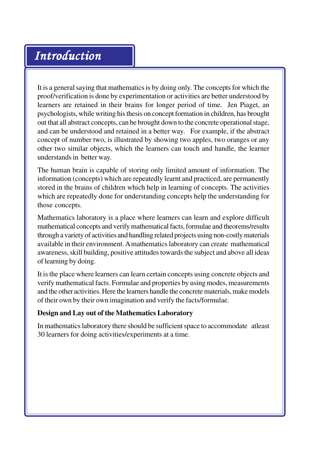# Introduction

It is a general saying that mathematics is by doing only. The concepts for which the proof/verification is done by experimentation or activities are better understood by learners are retained in their brains for longer period of time. Jen Piaget, an psychologists, while writing his thesis on concept formation in children, has brought out that all abstract concepts, can be brought down to the concrete operational stage, and can be understood and retained in a better way. For example, if the abstract concept of number two, is illustrated by showing two apples, two oranges or any other two similar objects, which the learners can touch and handle, the learner understands in better way.

The human brain is capable of storing only limited amount of information. The information (concepts) which are repeatedly learnt and practiced, are permanently stored in the brains of children which help in learning of concepts. The activities which are repeatedly done for understanding concepts help the understanding for those concepts.

Mathematics laboratory is a place where learners can learn and explore difficult mathematical concepts and verify mathematical facts, formulae and theorems/results through a variety of activities and handling related projects using non-costly materials available in their environment. A mathematics laboratory can create mathematical awareness, skill building, positive attitudes towards the subject and above all ideas of learning by doing.

It is the place where learners can learn certain concepts using concrete objects and verify mathematical facts. Formulae and properties by using modes, measurements and the other activities. Here the learners handle the concrete materials, make models of their own by their own imagination and verify the facts/formulae.

### **Design and Lay out of the Mathematics Laboratory**

In mathematics laboratory there should be sufficient space to accommodate atleast 30 learners for doing activities/experiments at a time.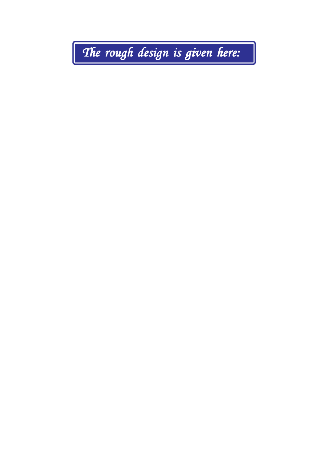# The rough design is given here: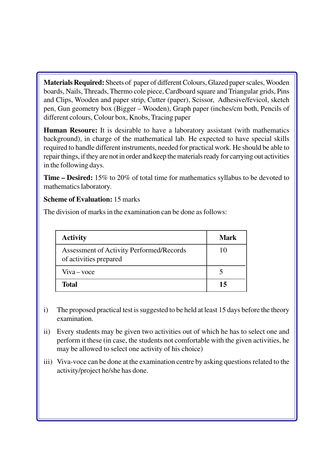**Materials Required:** Sheets of paper of different Colours, Glazed paper scales, Wooden boards, Nails, Threads, Thermo cole piece, Cardboard square and Triangular grids, Pins and Clips, Wooden and paper strip, Cutter (paper), Scissor, Adhesive/fevicol, sketch pen, Gun geometry box (Bigger – Wooden), Graph paper (inches/cm both, Pencils of different colours, Colour box, Knobs, Tracing paper

**Human Resoure:** It is desirable to have a laboratory assistant (with mathematics background), in charge of the mathematical lab. He expected to have special skills required to handle different instruments, needed for practical work. He should be able to repair things, if they are not in order and keep the materials ready for carrying out activities in the following days.

**Time – Desired:** 15% to 20% of total time for mathematics syllabus to be devoted to mathematics laboratory.

### **Scheme of Evaluation: 15 marks**

The division of marks in the examination can be done as follows:

| <b>Activity</b>                                                           | Mark |
|---------------------------------------------------------------------------|------|
| <b>Assessment of Activity Performed/Records</b><br>of activities prepared | 10   |
| Viva – voce                                                               |      |
| <b>Total</b>                                                              | 15   |

- i) The proposed practical test is suggested to be held at least 15 days before the theory examination.
- ii) Every students may be given two activities out of which he has to select one and perform it these (in case, the students not comfortable with the given activities, he may be allowed to select one activity of his choice)
- iii) Viva-voce can be done at the examination centre by asking questions related to the activity/project he/she has done.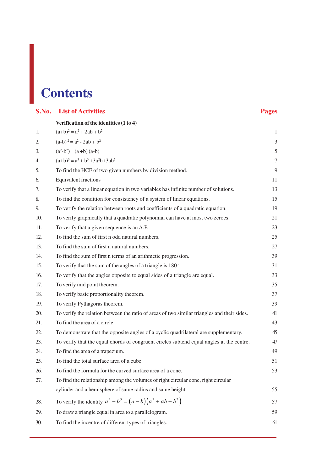# **Contents**

### **S.No. List of Activities Pages Verification of the identities (1 to 4)** 1.  $(a+b)^2 = a^2 + 2ab + b^2$  1 2.  $(a-b)^2 = a^2 - 2ab + b^2$  3 3.  $(a^2-b^2)=(a+b)(a-b)$  5 4.  $(a+b)^3 = a^3 + b^3 + 3a^2b + 3ab^2$  7 5. To find the HCF of two given numbers by division method. 9 6. Equivalent fractions 11 7. To verify that a linear equation in two variables has infinite number of solutions. 13 8. To find the condition for consistency of a system of linear equations. 15 9. To verify the relation between roots and coefficients of a quadratic equation. 19 10. To verify graphically that a quadratic polynomial can have at most two zeroes. 21 11. To verify that a given sequence is an A.P. 23 12. To find the sum of first n odd natural numbers. 25 13. To find the sum of first n natural numbers. 27 14. To find the sum of first n terms of an arithmetic progression. 39 15. To verify that the sum of the angles of a triangle is  $180^\circ$  31 16. To verify that the angles opposite to equal sides of a triangle are equal. 33 17. To verify mid point theorem. 35 18. To verify basic proportionality theorem. 37 19. To verify Pythagoras theorem. 39 20. To verify the relation between the ratio of areas of two similar triangles and their sides. 41 21. To find the area of a circle. 43 22. To demonstrate that the opposite angles of a cyclic quadrilateral are supplementary. 45 23. To verify that the equal chords of congruent circles subtend equal angles at the centre. 47 24. To find the area of a trapezium. 49 25. To find the total surface area of a cube. 51 26. To find the formula for the curved surface area of a cone. 53 27. To find the relationship among the volumes of right circular cone, right circular cylinder and a hemisphere of same radius and same height. 55 28. To verify the identity  $a^3 - b^3 = (a - b)(a^2 + ab + b^2)$  57 29. To draw a triangle equal in area to a parallelogram. 59 30. To find the incentre of different types of triangles. 61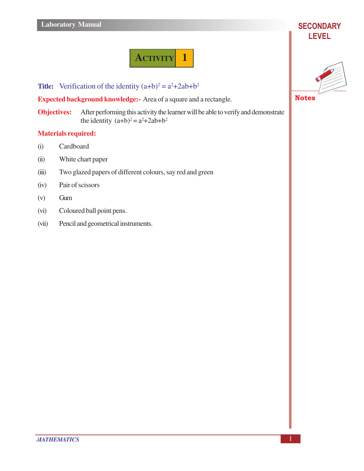# **ACTIVITY 1**

**Title:** Verification of the identity  $(a+b)^2 = a^2 + 2ab + b^2$ 

**Expected background knowledge:-** Area of a square and a rectangle.

**Objectives:** After performing this activity the learner will be able to verify and demonstrate the identity  $(a+b)^2 = a^2 + 2ab + b^2$ 

#### **Materials required:**

- (i) Cardboard
- (ii) White chart paper
- (iii) Two glazed papers of different colours, say red and green
- (iv) Pair of scissors
- (v) Gum
- (vi) Coloured ball point pens.
- (vii) Pencil and geometrical instruments.

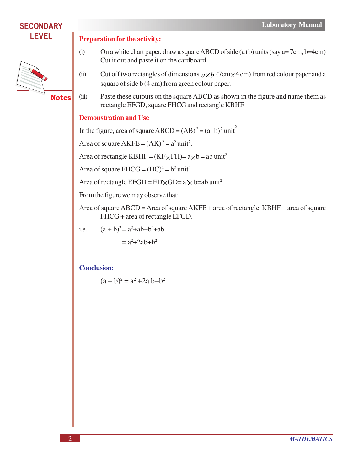### **Preparation for the activity:**

- (i) On a white chart paper, draw a square ABCD of side  $(a+b)$  units (say  $a=7$ cm, b=4cm) Cut it out and paste it on the cardboard.
- (ii) Cut off two rectangles of dimensions  $a \times b$  (7cm  $\times$  4 cm) from red colour paper and a square of side b (4 cm) from green colour paper.

**Notes** 

(iii) Paste these cutouts on the square ABCD as shown in the figure and name them as rectangle EFGD, square FHCG and rectangle KBHF

### **Demonstration and Use**

In the figure, area of square ABCD =  $(AB)^2 = (a+b)^2$  unit<sup>2</sup>

Area of square  $AKFE = (AK)^2 = a^2 unit^2$ .

Area of rectangle KBHF =  $(KF \times FH) = a \times b = ab$  unit<sup>2</sup>

Area of square FHCG =  $(HC)^2 = b^2$  unit<sup>2</sup>

Area of rectangle EFGD =  $ED \times GD = a \times b$ =ab unit<sup>2</sup>

From the figure we may observe that:

Area of square ABCD = Area of square AKFE + area of rectangle KBHF + area of square FHCG + area of rectangle EFGD.

i.e.  $(a + b)^2 = a^2 + ab + b^2 + ab$ 

 $= a^2 + 2ab + b^2$ 

**Conclusion:**

 $(a + b)^2 = a^2 + 2a b + b^2$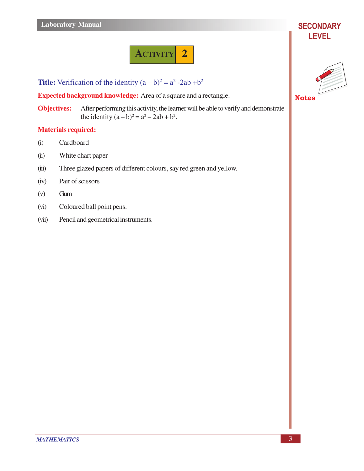# **ACTIVITY 2**

**Title:** Verification of the identity  $(a - b)^2 = a^2 - 2ab + b^2$ 

**Expected background knowledge:** Area of a square and a rectangle.

**Objectives:** After performing this activity, the learner will be able to verify and demonstrate the identity  $(a - b)^2 = a^2 - 2ab + b^2$ .

### **Materials required:**

- (i) Cardboard
- (ii) White chart paper
- (iii) Three glazed papers of different colours, say red green and yellow.
- (iv) Pair of scissors
- (v) Gum
- (vi) Coloured ball point pens.
- (vii) Pencil and geometrical instruments.

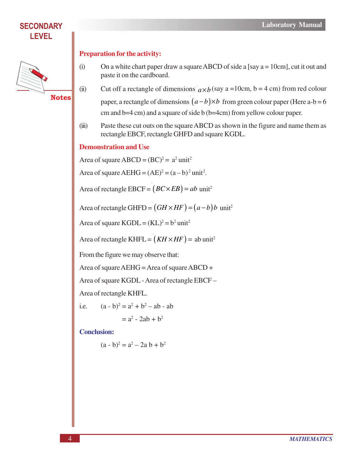- Notes
- (ii) Cut off a rectangle of dimensions  $a \times b$  (say a =10cm, b = 4 cm) from red colour paper, a rectangle of dimensions  $(a - b) \times b$  from green colour paper (Here a-b = 6 cm and b=4 cm) and a square of side b (b=4cm) from yellow colour paper.

(i) On a white chart paper draw a square ABCD of side a [say  $a = 10$ cm], cut it out and

(iii) Paste these cut outs on the square ABCD as shown in the figure and name them as rectangle EBCF, rectangle GHFD and square KGDL.

### **Demonstration and Use**

**Preparation for the activity:**

Area of square ABCD =  $(BC)^2 = a^2$  unit<sup>2</sup>

paste it on the cardboard.

Area of square  $AEHG = (AE)^2 = (a - b)^2$  unit<sup>2</sup>.

Area of rectangle EBCF =  $(BC \times EB) = ab$  unit<sup>2</sup>

Area of rectangle GHFD =  $(GH \times HF) = (a - b)b$  unit<sup>2</sup>

Area of square  $KGDL = (KL)^2 = b^2$  unit<sup>2</sup>

Area of rectangle KHFL =  $(KH \times HF)$  = ab unit<sup>2</sup>

From the figure we may observe that:

Area of square  $AEHG = Area$  of square  $ABCD +$ 

Area of square KGDL - Area of rectangle EBCF –

Area of rectangle KHFL.

i.e.  $(a - b)^2 = a^2 + b^2 - ab - ab$ 

 $=$   $a^2 - 2ab + b^2$ 

### **Conclusion:**

 $(a - b)^2 = a^2 - 2a b + b^2$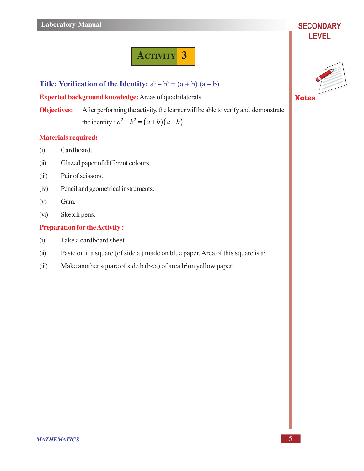

**Title: Verification of the Identity:**  $a^2 - b^2 = (a + b) (a - b)$ 

**Expected background knowledge:**Areas of quadrilaterals.

**Objectives:** After performing the activity, the learner will be able to verify and demonstrate the identity :  $a^2-b^2 = (a+b)(a-b)$ 

#### **Materials required:**

- (i) Cardboard.
- (ii) Glazed paper of different colours.
- (iii) Pair of scissors.
- (iv) Pencil and geometrical instruments.
- (v) Gum.
- (vi) Sketch pens.

#### **Preparation for the Activity :**

- (i) Take a cardboard sheet
- (ii) Paste on it a square (of side a ) made on blue paper. Area of this square is  $a^2$
- (iii) Make another square of side b  $(b \lt a)$  of area  $b^2$  on yellow paper.

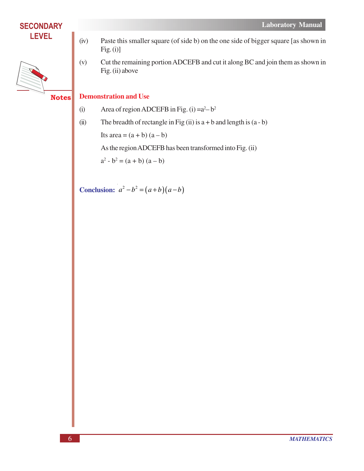

- (iv) Paste this smaller square (of side b) on the one side of bigger square [as shown in  $Fig. (i)]$
- (v) Cut the remaining portion ADCEFB and cut it along BC and join them as shown in Fig. (ii) above

#### Notes **Demonstration and Use**

- (i) Area of region ADCEFB in Fig. (i)  $=a^2-b^2$
- (ii) The breadth of rectangle in Fig (ii) is  $a + b$  and length is  $(a b)$

Its area  $=(a + b)(a - b)$ 

As the region ADCEFB has been transformed into Fig. (ii)

 $a^2 - b^2 = (a + b)(a - b)$ 

**Conclusion:**  $a^2-b^2 = (a+b)(a-b)$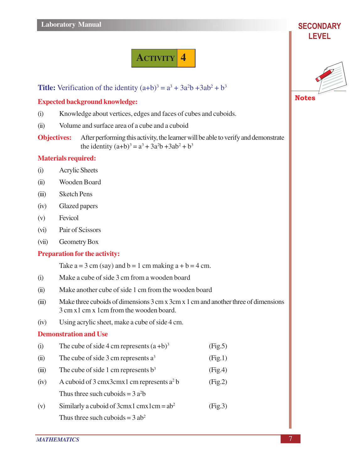| <b>CTIVI</b> |  |
|--------------|--|
|              |  |

**Title:** Verification of the identity  $(a+b)^3 = a^3 + 3a^2b + 3ab^2 + b^3$ 

#### **Expected background knowledge:**

- (i) Knowledge about vertices, edges and faces of cubes and cuboids.
- (ii) Volume and surface area of a cube and a cuboid

**Objectives:** After performing this activity, the learner will be able to verify and demonstrate the identity  $(a+b)^3 = a^3 + 3a^2b + 3ab^2 + b^3$ 

### **Materials required:**

- (i) Acrylic Sheets
- (ii) Wooden Board
- (iii) Sketch Pens
- (iv) Glazed papers
- (v) Fevicol
- (vi) Pair of Scissors
- (vii) Geometry Box

#### **Preparation for the activity:**

Take  $a = 3$  cm (say) and  $b = 1$  cm making  $a + b = 4$  cm.

- (i) Make a cube of side 3 cm from a wooden board
- (ii) Make another cube of side 1 cm from the wooden board
- (iii) Make three cuboids of dimensions 3 cm x 3cm x 1 cm and another three of dimensions 3 cm x1 cm x 1cm from the wooden board.
- (iv) Using acrylic sheet, make a cube of side 4 cm.

#### **Demonstration and Use**

- (i) The cube of side 4 cm represents  $(a + b)^3$ (Fig.5)
- (ii) The cube of side 3 cm represents  $a<sup>3</sup>$ (Fig.1)
- (iii) The cube of side 1 cm represents  $b<sup>3</sup>$  $(Fig.4)$
- (iv) A cuboid of 3 cmx3cmx1 cm represents  $a^2 b$  $(Fig.2)$ Thus three such cuboids  $= 3a^2b$
- (v) Similarly a cuboid of  $3cmx1$  cmx1cm =  $ab<sup>2</sup>$ (Fig.3) Thus three such cuboids  $= 3$  ab<sup>2</sup>

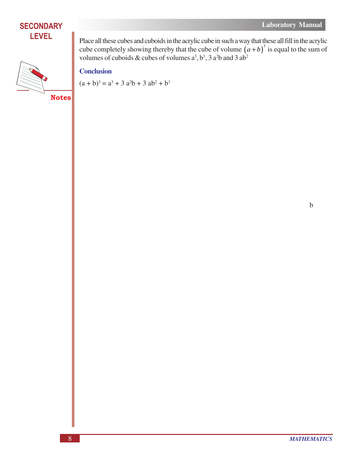

### **Conclusion**

 $(a + b)<sup>3</sup> = a<sup>3</sup> + 3 a<sup>2</sup>b + 3 ab<sup>2</sup> + b<sup>3</sup>$ 

Place all these cubes and cuboids in the acrylic cube in such a way that these all fill in the acrylic cube completely showing thereby that the cube of volume  $(a+b)^3$  is equal to the sum of

volumes of cuboids & cubes of volumes  $a^3$ ,  $b^3$ ,  $3$   $a^2b$  and  $3$   $ab^2$ 

b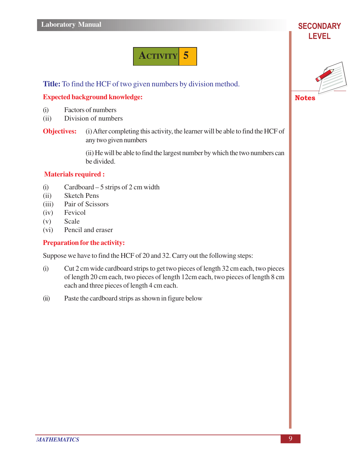

**Title:** To find the HCF of two given numbers by division method.

#### **Expected background knowledge:**

- (i) Factors of numbers
- (ii) Division of numbers
- **Objectives:** (i) After completing this activity, the learner will be able to find the HCF of any two given numbers

(ii) He will be able to find the largest number by which the two numbers can be divided.

#### **Materials required :**

- (i) Cardboard 5 strips of 2 cm width
- (ii) Sketch Pens
- (iii) Pair of Scissors
- (iv) Fevicol
- (v) Scale
- (vi) Pencil and eraser

#### **Preparation for the activity:**

Suppose we have to find the HCF of 20 and 32. Carry out the following steps:

- (i) Cut 2 cm wide cardboard strips to get two pieces of length 32 cm each, two pieces of length 20 cm each, two pieces of length 12cm each, two pieces of length 8 cm each and three pieces of length 4 cm each.
- (ii) Paste the cardboard strips as shown in figure below

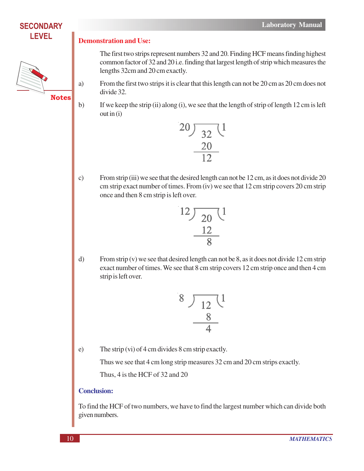### **Demonstration and Use:**

The first two strips represent numbers 32 and 20. Finding HCF means finding highest common factor of 32 and 20 i.e. finding that largest length of strip which measures the lengths 32cm and 20 cm exactly.

- a) From the first two strips it is clear that this length can not be 20 cm as 20 cm does not divide 32.
- b) If we keep the strip (ii) along (i), we see that the length of strip of length 12 cm is left out in (i)



c) From strip (iii) we see that the desired length can not be 12 cm, as it does not divide 20 cm strip exact number of times. From (iv) we see that 12 cm strip covers 20 cm strip once and then 8 cm strip is left over.



d) From strip (v) we see that desired length can not be 8, as it does not divide 12 cm strip exact number of times. We see that 8 cm strip covers 12 cm strip once and then 4 cm strip is left over.



e) The strip (vi) of 4 cm divides 8 cm strip exactly.

Thus we see that 4 cm long strip measures 32 cm and 20 cm strips exactly.

Thus, 4 is the HCF of 32 and 20

### **Conclusion:**

To find the HCF of two numbers, we have to find the largest number which can divide both given numbers.



**SECONDARY** LEVEL

Notes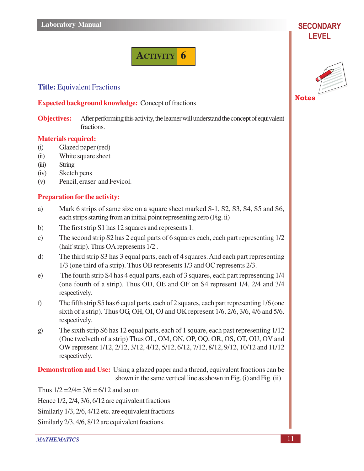

### **Title:** Equivalent Fractions

**Expected background knowledge:** Concept of fractions

**Objectives:** After performing this activity, the learner will understand the concept of equivalent fractions.

#### **Materials required:**

- (i) Glazed paper (red)
- (ii) White square sheet
- (iii) String
- (iv) Sketch pens
- (v) Pencil, eraser and Fevicol.

#### **Preparation for the activity:**

- a) Mark 6 strips of same size on a square sheet marked S-1, S2, S3, S4, S5 and S6, each strips starting from an initial point representing zero (Fig. ii)
- b) The first strip S1 has 12 squares and represents 1.
- c) The second strip S2 has 2 equal parts of 6 squares each, each part representing 1/2 (half strip). Thus OA represents 1/2 .
- d) The third strip S3 has 3 equal parts, each of 4 squares. And each part representing 1/3 (one third of a strip). Thus OB represents 1/3 and OC represents 2/3.
- e) The fourth strip S4 has 4 equal parts, each of 3 squares, each part representing 1/4 (one fourth of a strip). Thus OD, OE and OF on S4 represent 1/4, 2/4 and 3/4 respectively.
- f) The fifth strip S5 has 6 equal parts, each of 2 squares, each part representing 1/6 (one sixth of a strip). Thus OG, OH, OI, OJ and OK represent 1/6, 2/6, 3/6, 4/6 and 5/6. respectively.
- g) The sixth strip S6 has 12 equal parts, each of 1 square, each past representing 1/12 (One twelveth of a strip) Thus OL, OM, ON, OP, OQ, OR, OS, OT, OU, OV and OW represent 1/12, 2/12, 3/12, 4/12, 5/12, 6/12, 7/12, 8/12, 9/12, 10/12 and 11/12 respectively.

**Demonstration and Use:** Using a glazed paper and a thread, equivalent fractions can be shown in the same vertical line as shown in Fig. (i) and Fig. (ii)

Thus  $1/2 = 2/4 = 3/6 = 6/12$  and so on

Hence  $1/2$ ,  $2/4$ ,  $3/6$ ,  $6/12$  are equivalent fractions

Similarly 1/3, 2/6, 4/12 etc. are equivalent fractions

Similarly 2/3, 4/6, 8/12 are equivalent fractions.

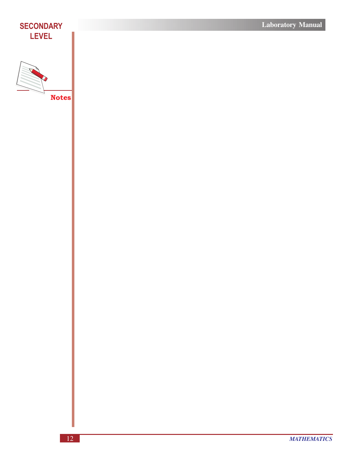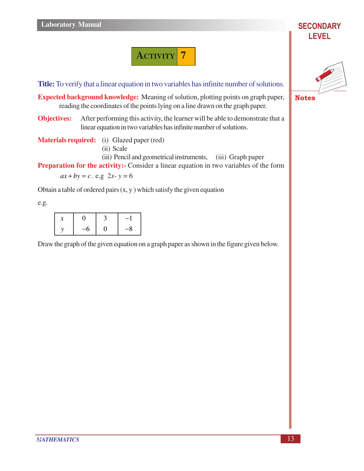



**Title:**To verify that a linear equation in two variables has infinite number of solutions.

**Expected background knowledge:** Meaning of solution, plotting points on graph paper, reading the coordinates of the points lying on a line drawn on the graph paper.

**Objectives:** After performing this activity, the learner will be able to demonstrate that a linear equation in two variables has infinite number of solutions.

**Materials required:** (i) Glazed paper (red)

(ii) Scale

(iii) Pencil and geometrical instruments, (iii) Graph paper

**Preparation for the activity:** Consider a linear equation in two variables of the form  $ax + by = c$ . e.g  $2x - y = 6$ 

Obtain a table of ordered pairs  $(x, y)$  which satisfy the given equation

e.g.

| $\chi$ |      |      |
|--------|------|------|
|        | $-6$ | $-8$ |

Draw the graph of the given equation on a graph paper as shown in the figure given below.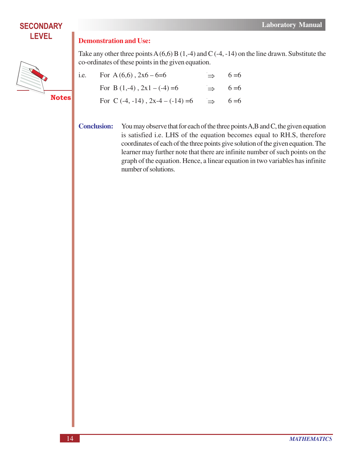### **Demonstration and Use:**

Take any other three points  $A(6,6) B(1,-4)$  and  $C(-4,-14)$  on the line drawn. Substitute the co-ordinates of these points in the given equation.

 $\overline{a}$ 

| i.e. | For A $(6,6)$ , 2x6 - 6=6              | $\Rightarrow$ | $6 = 6$           |
|------|----------------------------------------|---------------|-------------------|
|      | For B $(1,-4)$ , $2x1 - (-4) = 6$      |               | $\Rightarrow$ 6=6 |
|      | For C $(-4, -14)$ , $2x-4 - (-14) = 6$ | $\Rightarrow$ | $6 = 6$           |

**Conclusion:** You may observe that for each of the three points A,B and C, the given equation is satisfied i.e. LHS of the equation becomes equal to RH.S, therefore coordinates of each of the three points give solution of the given equation. The learner may further note that there are infinite number of such points on the graph of the equation. Hence, a linear equation in two variables has infinite number of solutions.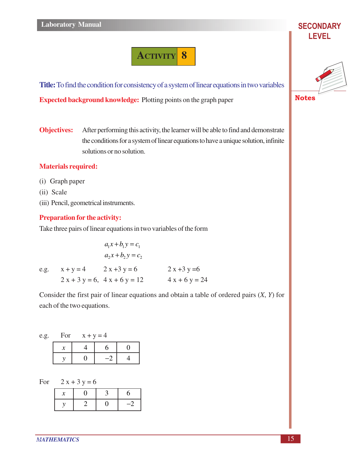**ACTIVITY 8**

**Title:** To find the condition for consistency of a system of linear equations in two variables

**Expected background knowledge:** Plotting points on the graph paper

**Objectives:** After performing this activity, the learner will be able to find and demonstrate the conditions for a system of linear equations to have a unique solution, infinite solutions or no solution.

#### **Materials required:**

- (i) Graph paper
- (ii) Scale
- (iii) Pencil, geometrical instruments.

### **Preparation for the activity:**

Take three pairs of linear equations in two variables of the form

$$
a_1x + b_1y = c_1
$$
  
\n
$$
a_2x + b_2y = c_2
$$
  
\ne.g.  $x + y = 4$  2x + 3y = 6 2x + 3y = 6  
\n2x + 3y = 6, 4x + 6y = 12 4x + 6y = 24

Consider the first pair of linear equations and obtain a table of ordered pairs (*X*, *Y*) for each of the two equations.

| e.g. | For           | $x + y = 4$ |  |  |
|------|---------------|-------------|--|--|
|      | $\mathcal{X}$ |             |  |  |
|      |               |             |  |  |

For  $2 x + 3 y = 6$ 

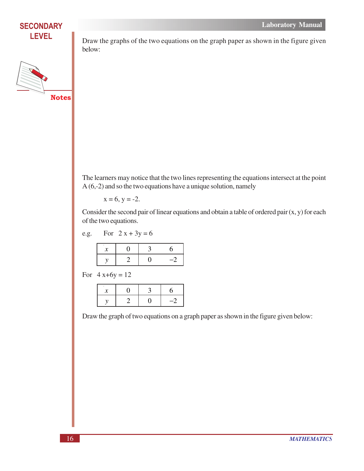

Draw the graphs of the two equations on the graph paper as shown in the figure given below:

The learners may notice that the two lines representing the equations intersect at the point A (6,-2) and so the two equations have a unique solution, namely

$$
x = 6, y = -2.
$$

Consider the second pair of linear equations and obtain a table of ordered pair (x, y) for each of the two equations.

e.g. For  $2 x + 3y = 6$ 

For  $4x+6y = 12$ 

Draw the graph of two equations on a graph paper as shown in the figure given below: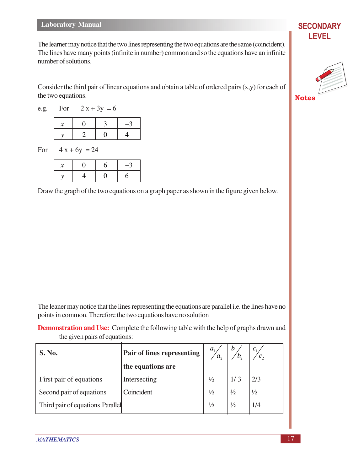#### **Laboratory Manual**

The learner may notice that the two lines representing the two equations are the same (coincident). The lines have many points (infinite in number) common and so the equations have an infinite number of solutions.

Consider the third pair of linear equations and obtain a table of ordered pairs  $(x, y)$  for each of the two equations.

e.g. For  $2x + 3y = 6$ 

For  $4x + 6y = 24$ 

Draw the graph of the two equations on a graph paper as shown in the figure given below.

The leaner may notice that the lines representing the equations are parallel i.e. the lines have no points in common. Therefore the two equations have no solution

**Demonstration and Use:** Complete the following table with the help of graphs drawn and the given pairs of equations:

| <b>S. No.</b>                    | Pair of lines representing |               |     | $c_{1}$       |
|----------------------------------|----------------------------|---------------|-----|---------------|
|                                  | the equations are          |               |     |               |
| First pair of equations          | Intersecting               | $\frac{1}{2}$ | 1/3 | 2/3           |
| Second pair of equations         | Coincident                 | $\frac{1}{2}$ |     | $\frac{1}{2}$ |
| Third pair of equations Parallel |                            | $\frac{1}{2}$ |     | 1/4           |



### **SECONDARY** LEVEL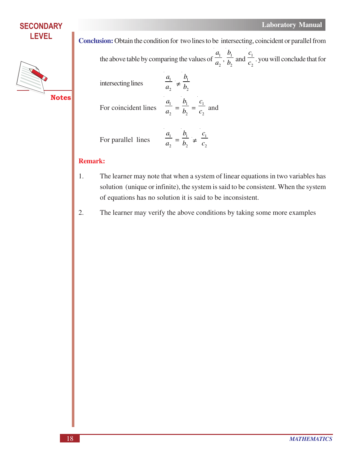

**Conclusion:** Obtain the condition for two lines to be intersecting, coincident or parallel from the above table by comparing the values of  $\frac{a_1}{a_2}$ *a*  $\frac{a_1}{a_2}$ ,  $\frac{b_1}{b_2}$ *b*  $\frac{b_1}{b_2}$  and  $\frac{c_1}{c_2}$ *c*  $\frac{1}{c_2}$ . you will conclude that for

2

intersecting lines

For coincident lines 2 *a*  $\frac{a_1}{a_2} = \frac{b_1}{b_2}$ 2 *b*  $\frac{b_1}{b_2} = \frac{c_1}{c_2}$ *c*  $\frac{1}{c_2}$  and

2

2

*b b*

*a*  $\frac{a_1}{a_2} \neq \frac{b_1}{b_2}$ 

For parallel lines  $\frac{a_1}{a_2}$ *a*  $\frac{a_1}{a_2} = \frac{b_1}{b_2}$ 2 *b*  $\frac{b_1}{b_2} \neq \frac{c_1}{c_2}$ *c c*

#### **Remark:**

1. The learner may note that when a system of linear equations in two variables has solution (unique or infinite), the system is said to be consistent. When the system of equations has no solution it is said to be inconsistent.

2

2

2. The learner may verify the above conditions by taking some more examples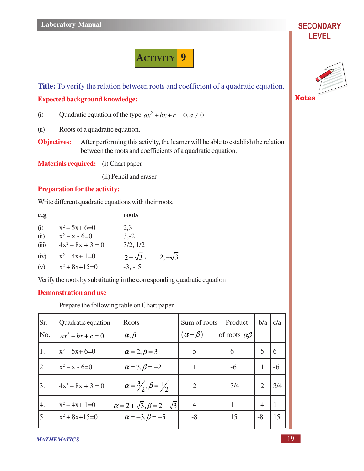

#### **Expected background knowledge:**

- (i) Quadratic equation of the type  $ax^2 + bx + c = 0, a \neq 0$
- (ii) Roots of a quadratic equation.
- **Objectives:** After performing this activity, the learner will be able to establish the relation between the roots and coefficients of a quadratic equation.

**Materials required:** (i) Chart paper

(ii) Pencil and eraser

#### **Preparation for the activity:**

Write different quadratic equations with their roots.

| e.g.  |                     | roots          |                |
|-------|---------------------|----------------|----------------|
| (i)   | $x^2 - 5x + 6 = 0$  | 2,3            |                |
| (ii)  | $x^2 - x - 6 = 0$   | $3,-2$         |                |
| (iii) | $4x^2 - 8x + 3 = 0$ | 3/2, 1/2       |                |
| (iv)  | $x^2 - 4x + 1 = 0$  | $2+\sqrt{3}$ , | $2, -\sqrt{3}$ |
| (v)   | $x^2 + 8x + 15 = 0$ | $-3, -5$       |                |

Verify the roots by substituting in the corresponding quadratic equation

#### **Demonstration and use**

Prepare the following table on Chart paper

| Sr.<br>No. | Quadratic equation<br>$ax^2 + bx + c = 0$ | Roots<br>$\alpha, \beta$                      | Sum of roots<br>$(\alpha+\beta)$ | Product<br>of roots $\alpha\beta$ | $-b/a$         | c/a  |
|------------|-------------------------------------------|-----------------------------------------------|----------------------------------|-----------------------------------|----------------|------|
| 11.        | $x^2 - 5x + 6 = 0$                        | $\alpha = 2, \beta = 3$                       |                                  | 6                                 |                | 6    |
| 2.         | $x^2 - x - 6 = 0$                         | $\alpha = 3, \beta = -2$                      |                                  | $-6$                              | 1              | $-6$ |
| 3.         | $4x^2 - 8x + 3 = 0$                       | $\alpha = \frac{3}{2}, \beta = \frac{1}{2}$   | $\overline{2}$                   | 3/4                               | $\overline{2}$ | 3/4  |
| 4.         | $x^2 - 4x + 1 = 0$                        | $\alpha = 2 + \sqrt{3}, \beta = 2 - \sqrt{3}$ | $\overline{4}$                   |                                   | 4              |      |
| 5.         | $x^2 + 8x + 15 = 0$                       | $\alpha = -3, \beta = -5$                     | $-8$                             | 15                                | $-8$           | 15   |

**Notes**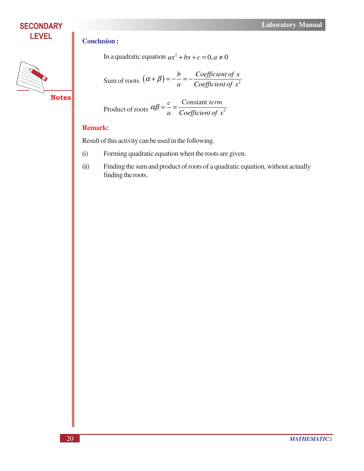### **Conclusion :**

**Notes** 

In a quadratic equation  $ax^2 + bx + c = 0, a \neq 0$ 

Sum of roots 
$$
(\alpha + \beta) = -\frac{b}{a} = -\frac{Coefficient \ of \ x}{Coefficient \ of \ x^2}
$$

Product of roots  $\alpha p = -\frac{1}{q} \frac{1}{\sqrt{2\pi}}$ *c a Coefficient of x*  $\alpha\beta$  =  $\stackrel{\sim}{-}$  = Constant *term*

### **Remark:**

Result of this activity can be used in the following.

- (i) Forming quadratic equation when the roots are given.
- (ii) Finding the sum and product of roots of a quadratic equation, without actually finding the roots.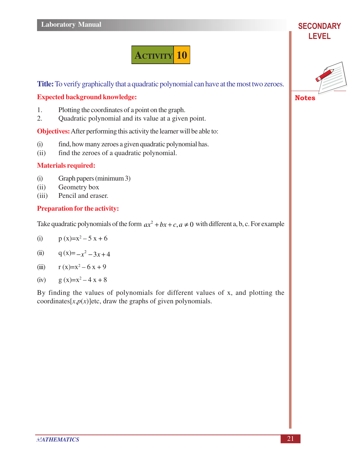# **ACTIVITY 10**

**Title:**To verify graphically that a quadratic polynomial can have at the most two zeroes.

#### **Expected background knowledge:**

- 1. Plotting the coordinates of a point on the graph.
- 2. Quadratic polynomial and its value at a given point.

**Objectives:**After performing this activity the learner will be able to:

- (i) find, how many zeroes a given quadratic polynomial has.
- (ii) find the zeroes of a quadratic polynomial.

#### **Materials required:**

- (i) Graph papers (minimum 3)
- (ii) Geometry box
- (iii) Pencil and eraser.

#### **Preparation for the activity:**

Take quadratic polynomials of the form  $ax^2 + bx + c$ ,  $a \neq 0$  with different a, b, c. For example

- (i)  $p(x)=x^2-5x+6$
- (ii)  $q(x) = -x^2 3x + 4$
- (iii)  $r(x)=x^2-6x+9$
- (iv)  $g(x)=x^2-4x+8$

By finding the values of polynomials for different values of x, and plotting the coordinates[ $x, p(x)$ ]etc, draw the graphs of given polynomials.

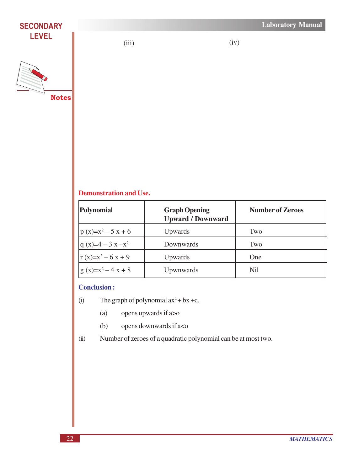**Laboratory Manual**

### **SECONDARY** LEVEL



(iii)  $(iv)$ 

### **Demonstration and Use.**

| Polynomial            | <b>Graph Opening</b><br><b>Upward / Downward</b> | <b>Number of Zeroes</b> |
|-----------------------|--------------------------------------------------|-------------------------|
| $p(x)=x^2-5x+6$       | Upwards                                          | Two                     |
| q (x)=4 – 3 x – $x^2$ | Downwards                                        | Two                     |
| $r(x)=x^2-6x+9$       | Upwards                                          | <b>One</b>              |
| $g(x)=x^2-4x+8$       | Upwnwards                                        | Nil                     |

### **Conclusion :**

- (i) The graph of polynomial  $ax^2 + bx +c$ ,
	- (a) opens upwards if a>o
	- (b) opens downwards if  $a \lt o$
- (ii) Number of zeroes of a quadratic polynomial can be at most two.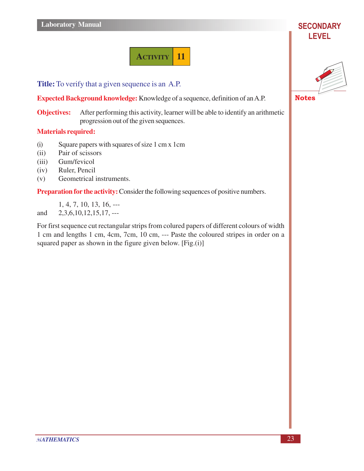

**Title:** To verify that a given sequence is an A.P.

**Expected Background knowledge:** Knowledge of a sequence, definition of an A.P.

**Objectives:** After performing this activity, learner will be able to identify an arithmetic progression out of the given sequences.

#### **Materials required:**

- (i) Square papers with squares of size 1 cm x 1cm
- (ii) Pair of scissors
- (iii) Gum/fevicol
- (iv) Ruler, Pencil
- (v) Geometrical instruments.

**Preparation for the activity:** Consider the following sequences of positive numbers.

1, 4, 7, 10, 13, 16, -- and 2,3,6,10,12,15,17, ---

For first sequence cut rectangular strips from colured papers of different colours of width 1 cm and lengths 1 cm, 4cm, 7cm, 10 cm, --- Paste the coloured stripes in order on a squared paper as shown in the figure given below. [Fig.(i)]

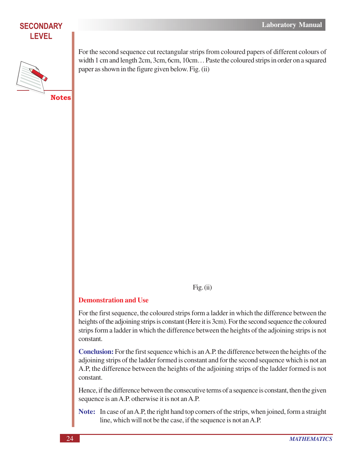

For the second sequence cut rectangular strips from coloured papers of different colours of width 1 cm and length 2cm, 3cm, 6cm, 10cm... Paste the coloured strips in order on a squared paper as shown in the figure given below. Fig. (ii)

 $Fig. (ii)$ 

### **Demonstration and Use**

For the first sequence, the coloured strips form a ladder in which the difference between the heights of the adjoining strips is constant (Here it is 3cm). For the second sequence the coloured strips form a ladder in which the difference between the heights of the adjoining strips is not constant.

**Conclusion:** For the first sequence which is an A.P. the difference between the heights of the adjoining strips of the ladder formed is constant and for the second sequence which is not an A.P, the difference between the heights of the adjoining strips of the ladder formed is not constant.

Hence, if the difference between the consecutive terms of a sequence is constant, then the given sequence is an A.P. otherwise it is not an A.P.

**Note:** In case of an A.P, the right hand top corners of the strips, when joined, form a straight line, which will not be the case, if the sequence is not an A.P.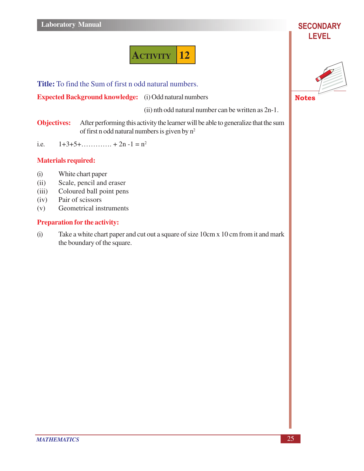

**Title:** To find the Sum of first n odd natural numbers.

**Expected Background knowledge:** (i) Odd natural numbers

(ii) nth odd natural number can be written as 2n-1.

- **Objectives:** After performing this activity the learner will be able to generalize that the sum of first n odd natural numbers is given by  $n^2$
- i.e.  $1+3+5+\ldots + 2n-1 = n^2$

#### **Materials required:**

- (i) White chart paper
- (ii) Scale, pencil and eraser
- (iii) Coloured ball point pens
- (iv) Pair of scissors
- (v) Geometrical instruments

#### **Preparation for the activity:**

(i) Take a white chart paper and cut out a square of size 10cm x 10 cm from it and mark the boundary of the square.

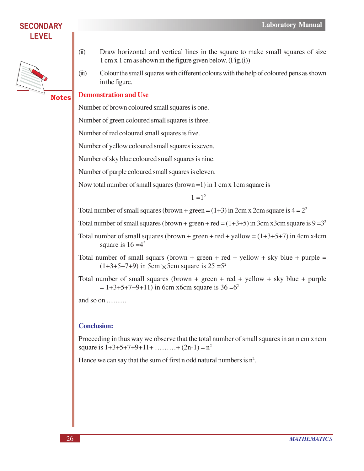

- (ii) Draw horizontal and vertical lines in the square to make small squares of size 1 cm x 1 cm as shown in the figure given below. (Fig.(i))
- (iii) Colour the small squares with different colours with the help of coloured pens as shown in the figure.

#### **Notes Demonstration and Use**

Number of brown coloured small squares is one.

Number of green coloured small squares is three.

Number of red coloured small squares is five.

Number of yellow coloured small squares is seven.

Number of sky blue coloured small squares is nine.

Number of purple coloured small squares is eleven.

Now total number of small squares (brown =1) in 1 cm x 1 cm square is

 $1 = 1^2$ 

Total number of small squares (brown + green =  $(1+3)$  in 2cm x 2cm square is  $4 = 2<sup>2</sup>$ 

Total number of small squares (brown + green + red =  $(1+3+5)$  in 3cm x3cm square is  $9=3^2$ 

Total number of small squares (brown + green + red + yellow =  $(1+3+5+7)$  in 4cm x4cm square is  $16 = 4^2$ 

Total number of small squars (brown + green + red + yellow + sky blue + purple =  $(1+3+5+7+9)$  in 5cm  $\times$ 5cm square is 25 = 5<sup>2</sup>

Total number of small squares (brown + green + red + yellow + sky blue + purple  $= 1+3+5+7+9+11$ ) in 6cm x6cm square is 36 = 6<sup>2</sup>

and so on ...........

### **Conclusion:**

Proceeding in thus way we observe that the total number of small squares in an n cm xncm square is  $1+3+5+7+9+11+$  ………+  $(2n-1) = n^2$ 

Hence we can say that the sum of first n odd natural numbers is  $n^2$ .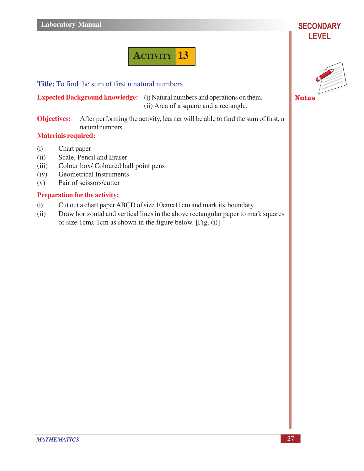

**Title:** To find the sum of first n natural numbers.

**Expected Background knowledge:** (i) Natural numbers and operations on them. (ii) Area of a square and a rectangle.

**Objectives:** After performing the activity, learner will be able to find the sum of first, n natural numbers.

#### **Materials required:**

- (i) Chart paper
- (ii) Scale, Pencil and Eraser
- (iii) Colour box/ Coloured ball point pens
- (iv) Geometrical Instruments.
- (v) Pair of scissors/cutter

#### **Preparation for the activity:**

- (i) Cut out a chart paper ABCD of size 10cmx11cm and mark its boundary.
- (ii) Draw horizontal and vertical lines in the above rectangular paper to mark squares of size 1cm*x* 1cm as shown in the figure below. [Fig. (i)]

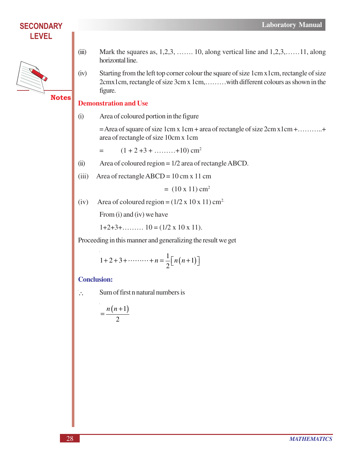

- (iii) Mark the squares as,  $1,2,3, \ldots$  10, along vertical line and  $1,2,3,\ldots$  11, along horizontal line.
- (iv) Starting from the left top corner colour the square of size 1cm x1cm, rectangle of size 2cmx1cm, rectangle of size 3cm x 1cm,………with different colours as shown in the figure.

### **Demonstration and Use**

(i) Area of coloured portion in the figure

 $=$  Area of square of size 1cm x 1cm + area of rectangle of size 2cm x1cm + ...  $\dots$ ... area of rectangle of size 10cm x 1cm

 $=$   $(1 + 2 + 3 + \dots + 10)$  cm<sup>2</sup>

- (ii) Area of coloured region = 1/2 area of rectangle ABCD.
- (iii) Area of rectangle  $ABCD = 10 \text{ cm} \times 11 \text{ cm}$

 $= (10 \times 11)$  cm<sup>2</sup>

(iv) Area of coloured region =  $(1/2 \times 10 \times 11)$  cm<sup>2.</sup>

From (i) and (iv) we have

 $1+2+3+\ldots$   $10 = (1/2 \times 10 \times 11).$ 

Proceeding in this manner and generalizing the result we get

$$
1+2+3+\cdots+ n = \frac{1}{2} \Big[ n(n+1) \Big]
$$

### **Conclusion:**

∴ Sum of first n natural numbers is

$$
=\frac{n(n+1)}{2}
$$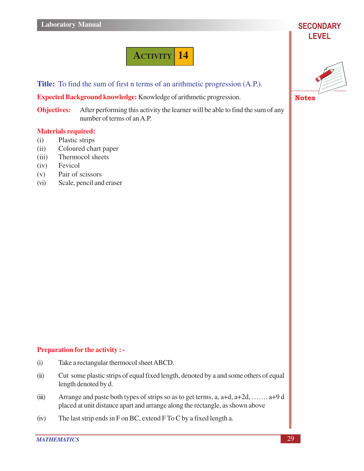

**Title:** To find the sum of first n terms of an arithmetic progression (A.P.).

**Expected Background knowledge:** Knowledge of arithmetic progression.

**Objectives:** After performing this activity the learner will be able to find the sum of any number of terms of an A.P.

#### **Materials required:**

- (i) Plastic strips
- (ii) Coloured chart paper
- (iii) Thermocol sheets
- (iv) Fevicol
- (v) Pair of scissors
- (vi) Scale, pencil and eraser

#### **Preparation for the activity : -**

- (i) Take a rectangular thermocol sheet ABCD.
- (ii) Cut some plastic strips of equal fixed length, denoted by a and some others of equal length denoted by d.
- (iii) Arrange and paste both types of strips so as to get terms, a,  $a+d$ ,  $a+2d$ , …….  $a+9d$ placed at unit distance apart and arrange along the rectangle, as shown above
- (iv) The last strip ends in F on BC, extend F To C by a fixed length a.



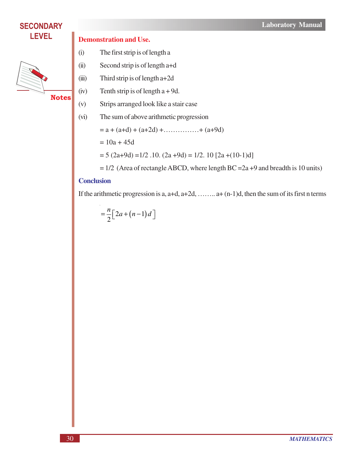**Notes** 

### **Demonstration and Use.**

- (i) The first strip is of length a
- (ii) Second strip is of length a+d
- (iii) Third strip is of length a+2d
- (iv) Tenth strip is of length  $a + 9d$ .
- (v) Strips arranged look like a stair case
- (vi) The sum of above arithmetic progression
	- $= a + (a+d) + (a+2d) + \dots + (a+9d)$
	- $= 10a + 45d$
	- $= 5 (2a+9d) = 1/2 .10. (2a +9d) = 1/2.10 [2a + (10-1)d]$
	- $= 1/2$  (Area of rectangle ABCD, where length BC = 2a +9 and breadth is 10 units)

### **Conclusion**

If the arithmetic progression is a,  $a+d$ ,  $a+2d$ , ……..  $a+(n-1)d$ , then the sum of its first n terms

$$
=\frac{n}{2}\big[2a + (n-1)d\big]
$$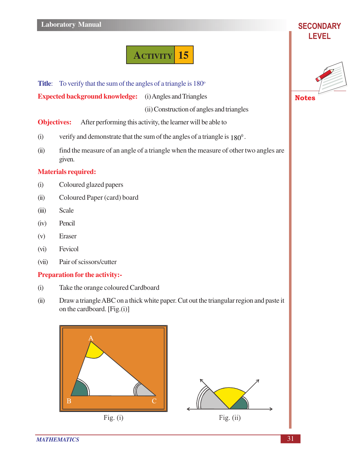**ACTIVITY 15**

**Title**: To verify that the sum of the angles of a triangle is 180<sup>o</sup>

**Expected background knowledge:** (i) Angles and Triangles

(ii) Construction of angles and triangles

**Objectives:** After performing this activity, the learner will be able to

- (i) verify and demonstrate that the sum of the angles of a triangle is  $180^{\circ}$ .
- (ii) find the measure of an angle of a triangle when the measure of other two angles are given.

#### **Materials required:**

- (i) Coloured glazed papers
- (ii) Coloured Paper (card) board
- (iii) Scale
- (iv) Pencil
- (v) Eraser
- (vi) Fevicol
- (vii) Pair of scissors/cutter

#### **Preparation for the activity:-**

- (i) Take the orange coloured Cardboard
- (ii) Draw a triangle ABC on a thick white paper. Cut out the triangular region and paste it on the cardboard. [Fig.(i)]



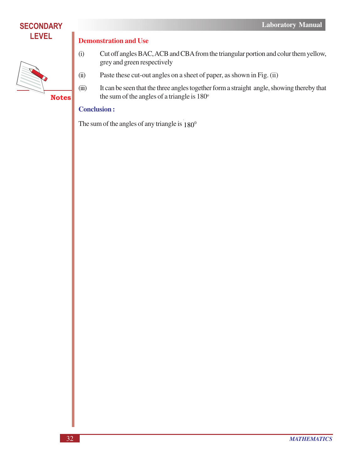### **Demonstration and Use**

- (i) Cut off angles BAC, ACB and CBA from the triangular portion and colur them yellow, grey and green respectively
- (ii) Paste these cut-out angles on a sheet of paper, as shown in Fig. (ii)
- (iii) It can be seen that the three angles together form a straight angle, showing thereby that the sum of the angles of a triangle is  $180^\circ$

### **Conclusion :**

The sum of the angles of any triangle is  $180^{\circ}$ 

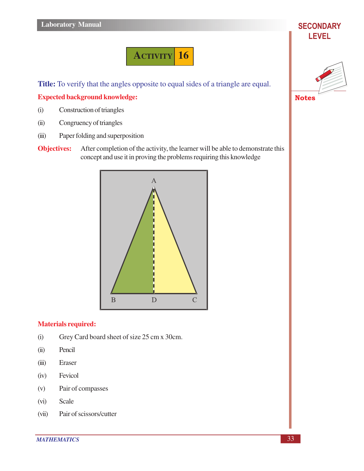# **ACTIVITY 16**

**Title:** To verify that the angles opposite to equal sides of a triangle are equal.

### **Expected background knowledge:**

- (i) Construction of triangles
- (ii) Congruency of triangles
- (iii) Paper folding and superposition
- **Objectives:** After completion of the activity, the learner will be able to demonstrate this concept and use it in proving the problems requiring this knowledge



### **Materials required:**

- (i) Grey Card board sheet of size 25 cm x 30cm.
- (ii) Pencil
- (iii) Eraser
- (iv) Fevicol
- (v) Pair of compasses
- (vi) Scale
- (vii) Pair of scissors/cutter

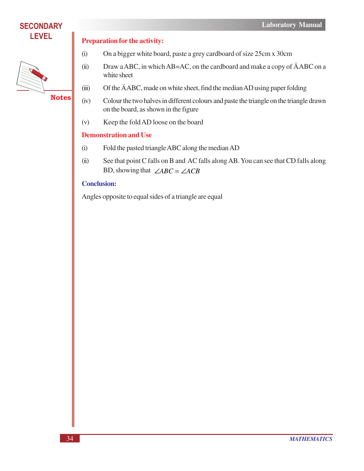### **Preparation for the activity:**

- (i) On a bigger white board, paste a grey cardboard of size 25cm x 30cm
- (ii) Draw a ABC, in which AB=AC, on the cardboard and make a copy of Ä ABC on a white sheet
- (iii) Of the Ä ABC, made on white sheet, find the median AD using paper folding
- (iv) Colour the two halves in different colours and paste the triangle on the triangle drawn on the board, as shown in the figure
- (v) Keep the fold AD loose on the board

### **Demonstration and Use**

- (i) Fold the pasted triangle ABC along the median AD
- (ii) See that point C falls on B and AC falls along AB. You can see that CD falls along BD, showing that  $\angle ABC = \angle ACB$

#### **Conclusion:**

Angles opposite to equal sides of a triangle are equal



**Notes**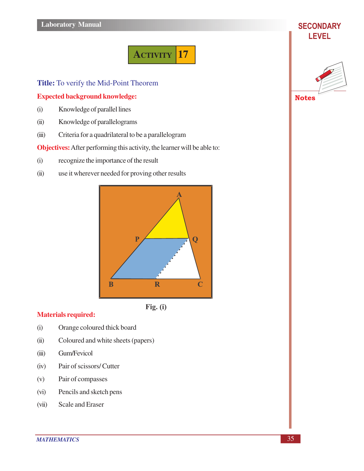

#### **Title:** To verify the Mid-Point Theorem

#### **Expected background knowledge:**

- (i) Knowledge of parallel lines
- (ii) Knowledge of parallelograms
- (iii) Criteria for a quadrilateral to be a parallelogram

**Objectives:**After performing this activity, the learner will be able to:

- (i) recognize the importance of the result
- (ii) use it wherever needed for proving other results





### **Materials required:**

- (i) Orange coloured thick board
- (ii) Coloured and white sheets (papers)
- (iii) Gum/Fevicol
- (iv) Pair of scissors/ Cutter
- (v) Pair of compasses
- (vi) Pencils and sketch pens
- (vii) Scale and Eraser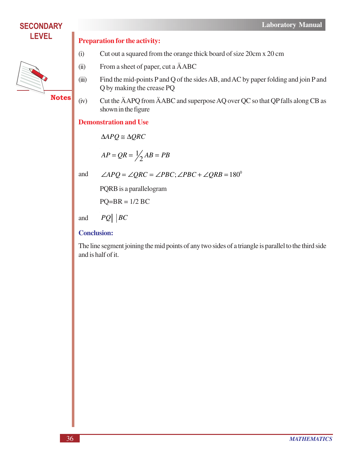### **Preparation for the activity:**

- (i) Cut out a squared from the orange thick board of size 20cm x 20 cm
- $(ii)$  From a sheet of paper, cut a  $\ddot{A}ABC$
- (iii) Find the mid-points P and Q of the sides AB, and AC by paper folding and join P and Q by making the crease PQ

(iv) Cut the Ä APQ from Ä ABC and superpose AQ over QC so that QP falls along CB as shown in the figure

### **Demonstration and Use**

 $\triangle APQ \cong \triangle QRC$ 

$$
AP = QR = \frac{1}{2} AB = PB
$$

and  $\angle APQ = \angle QRC = \angle PBC$ ;  $\angle PBC + \angle QRB = 180^\circ$ 

PQRB is a parallelogram

 $PQ=BR = 1/2 BC$ 

and 
$$
PQ \mid BC
$$

### **Conclusion:**

The line segment joining the mid points of any two sides of a triangle is parallel to the third side and is half of it.



**SECONDARY** LEVEL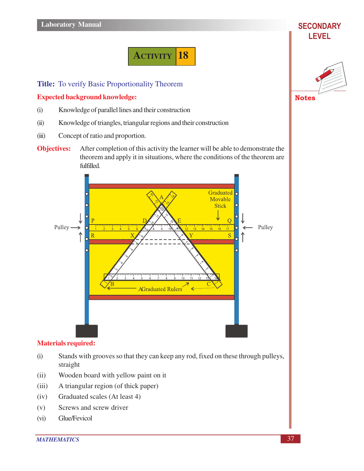**ACTIVITY 18**

#### **Title:** To verify Basic Proportionality Theorem

#### **Expected background knowledge:**

- (i) Knowledge of parallel lines and their construction
- (ii) Knowledge of triangles, triangular regions and their construction
- (iii) Concept of ratio and proportion.
- **Objectives:** After completion of this activity the learner will be able to demonstrate the theorem and apply it in situations, where the conditions of the theorem are fulfilled.



#### **Materials required:**

- (i) Stands with grooves so that they can keep any rod, fixed on these through pulleys, straight
- (ii) Wooden board with yellow paint on it
- (iii) A triangular region (of thick paper)
- (iv) Graduated scales (At least 4)
- (v) Screws and screw driver
- (vi) Glue/Fevicol

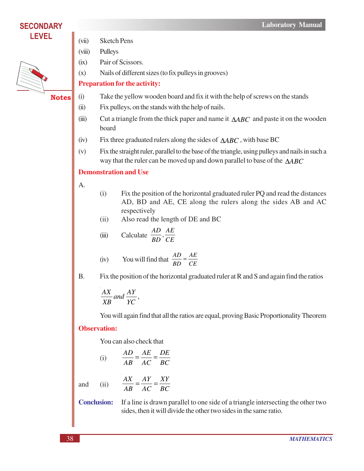

**Notes** 

- (vii) Sketch Pens
- (viii) Pulleys
- (ix) Pair of Scissors.
- (x) Nails of different sizes (to fix pulleys in grooves)

### **Preparation for the activity:**

- (i) Take the yellow wooden board and fix it with the help of screws on the stands
- (ii) Fix pulleys, on the stands with the help of nails.
- (iii) Cut a triangle from the thick paper and name it ∆*ABC* and paste it on the wooden board
- (iv) Fix three graduated rulers along the sides of ∆*ABC* , with base BC
- (v) Fix the straight ruler, parallel to the base of the triangle, using pulleys and nails in such a way that the ruler can be moved up and down parallel to base of the ∆*ABC*

### **Demonstration and Use**

- A.
- (i) Fix the position of the horizontal graduated ruler PQ and read the distances AD, BD and AE, CE along the rulers along the sides AB and AC respectively
- (ii) Also read the length of DE and BC

(iii) Calculate 
$$
\frac{AD}{BD}
$$
,  $\frac{AE}{CE}$ 

(iv) You will find that 
$$
\frac{AD}{BD} = \frac{AE}{CE}
$$

B. Fix the position of the horizontal graduated ruler at R and S and again find the ratios

$$
\frac{AX}{XB} and \frac{AY}{YC},
$$

You will again find that all the ratios are equal, proving Basic Proportionality Theorem

### **Observation:**

You can also check that

(i) 
$$
\frac{AD}{AB} = \frac{AE}{AC} = \frac{DE}{BC}
$$

and (ii) 
$$
\frac{AX}{AB} = \frac{AY}{AC} = \frac{XY}{BC}
$$

**Conclusion:** If a line is drawn parallel to one side of a triangle intersecting the other two sides, then it will divide the other two sides in the same ratio.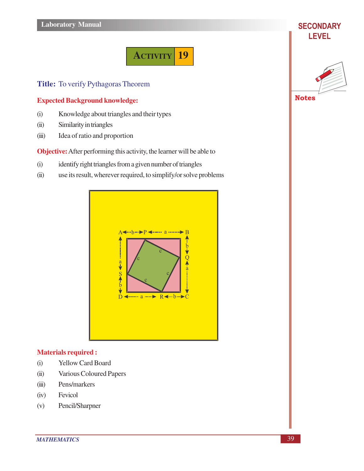

### **Title:** To verify Pythagoras Theorem

#### **Expected Background knowledge:**

- (i) Knowledge about triangles and their types
- (ii) Similarity in triangles
- (iii) Idea of ratio and proportion

**Objective:**After performing this activity, the learner will be able to

- (i) identify right triangles from a given number of triangles
- (ii) use its result, wherever required, to simplify/or solve problems



#### **Materials required :**

- (i) Yellow Card Board
- (ii) Various Coloured Papers
- (iii) Pens/markers
- (iv) Fevicol
- (v) Pencil/Sharpner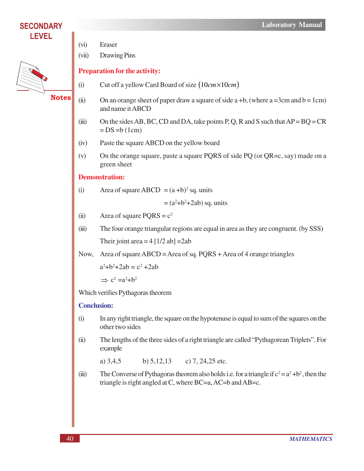- (vi) Eraser
- (vii) Drawing Pins

### **Preparation for the activity:**

- (i) Cut off a yellow Card Board of size  $(10cm \times 10cm)$
- (ii) On an orange sheet of paper draw a square of side  $a + b$ , (where  $a = 3cm$  and  $b = 1cm$ ) and name it ABCD
- (iii) On the sides AB, BC, CD and DA, take points P, Q, R and S such that  $AP = BQ = CR$  $= DS = b (1cm)$
- (iv) Paste the square ABCD on the yellow board
- (v) On the orange square, paste a square PQRS of side PQ (or QR=c, say) made on a green sheet

#### **Demonstration:**

(i) Area of square ABCD =  $(a + b)^2$  sq. units

 $=(a^2+b^2+2ab)$  sq. units

- (ii) Area of square  $PQRS = c^2$
- (iii) The four orange triangular regions are equal in area as they are congruent. (by SSS) Their joint area  $= 4$  [1/2 ab] = 2ab
- Now, Area of square ABCD = Area of sq. PQRS + Area of 4 orange triangles

 $a^2+b^2+2ab = c^2 + 2ab$ 

 $\Rightarrow$  c<sup>2</sup> = a<sup>2</sup>+b<sup>2</sup>

Which verifies Pythagoras theorem

#### **Conclusion:**

- (i) In any right triangle, the square on the hypotenuse is equal to sum of the squares on the other two sides
- (ii) The lengths of the three sides of a right triangle are called "Pythagorean Triplets". For example

a) 3,4,5 b) 5,12,13 c) 7, 24,25 etc.

(iii) The Converse of Pythagoras theorem also holds i.e. for a triangle if  $c^2 = a^2 + b^2$ , then the triangle is right angled at C, where BC=a, AC=b and AB=c.

**Notes**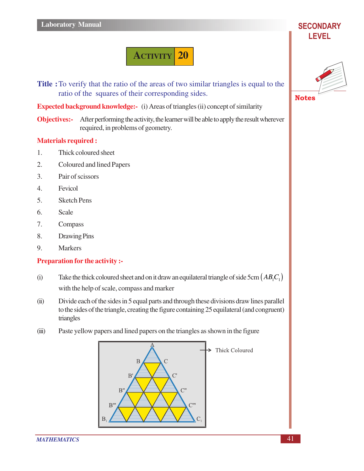

**Title :**To verify that the ratio of the areas of two similar triangles is equal to the ratio of the squares of their corresponding sides.

**Expected background knowledge:-** (i) Areas of triangles (ii) concept of similarity

**Objectives:** After performing the activity, the learner will be able to apply the result wherever required, in problems of geometry.

#### **Materials required :**

- 1. Thick coloured sheet
- 2. Coloured and lined Papers
- 3. Pair of scissors
- 4. Fevicol
- 5. Sketch Pens
- 6. Scale
- 7. Compass
- 8. Drawing Pins
- 9. Markers

#### **Preparation for the activity :-**

- (i) Take the thick coloured sheet and on it draw an equilateral triangle of side 5cm  $(AB_1C_1)$ with the help of scale, compass and marker
- (ii) Divide each of the sides in 5 equal parts and through these divisions draw lines parallel to the sides of the triangle, creating the figure containing 25 equilateral (and congruent) triangles
- (iii) Paste yellow papers and lined papers on the triangles as shown in the figure



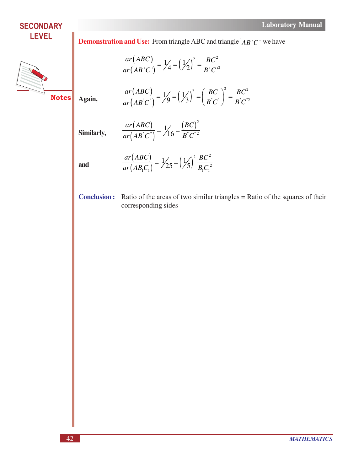**Demonstration and Use:** From triangle ABC and triangle  $AB'C'$  we have

$$
\frac{ar(ABC)}{ar(AB'C')} = \frac{1}{4} = \left(\frac{1}{2}\right)^2 = \frac{BC^2}{B'C'^2}
$$

**Notes Again,**

$$
\frac{ar(ABC)}{ar(AB'C')} = \frac{1}{9} = \left(\frac{1}{3}\right)^2 = \left(\frac{BC}{B'C'}\right)^2 = \frac{BC^2}{B'C'^2}
$$

**Similarly,**

 $(ABC)$  $\overline{\big(AB^{{\rm \texttt{''}} }C^{^{\rm \texttt{''}} }\big)}$  $\bigl( BC\bigr) ^2$  $\frac{P_{\rm C}}{P_{\rm C}} = \frac{1}{16} = \frac{P_{\rm C}}{R_{\rm C}}$ 16  $ar(ABC)$  1/  $(BC)$  $ar(AB^{\dagger}C^{\dagger})$  / 16  $B^{\dagger}C$  $=$   $\frac{1}{16}$  =

$$
\frac{ar(ABC)}{ar(AB_1C_1)} = \frac{1}{25} = \left(\frac{1}{5}\right)^2 \frac{BC^2}{B_1C_1^2}
$$

**and**

**Conclusion :** Ratio of the areas of two similar triangles = Ratio of the squares of their corresponding sides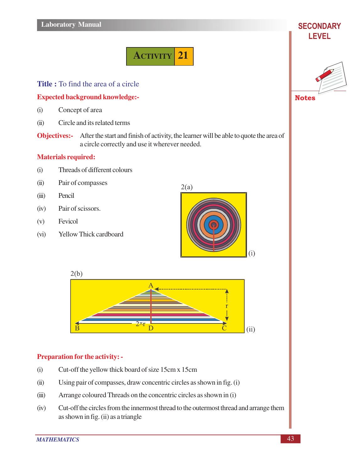

**Title :** To find the area of a circle

#### **Expected background knowledge:-**

- (i) Concept of area
- (ii) Circle and its related terms

**Objectives:** After the start and finish of activity, the learner will be able to quote the area of a circle correctly and use it wherever needed.

#### **Materials required:**

- (i) Threads of different colours
- (ii) Pair of compasses
- (iii) Pencil
- (iv) Pair of scissors.
- (v) Fevicol
- (vi) Yellow Thick cardboard





#### **Preparation for the activity: -**

- (i) Cut-off the yellow thick board of size 15cm x 15cm
- (ii) Using pair of compasses, draw concentric circles as shown in fig. (i)
- (iii) Arrange coloured Threads on the concentric circles as shown in (i)
- (iv) Cut-off the circles from the innermost thread to the outermost thread and arrange them as shown in fig. (ii) as a triangle

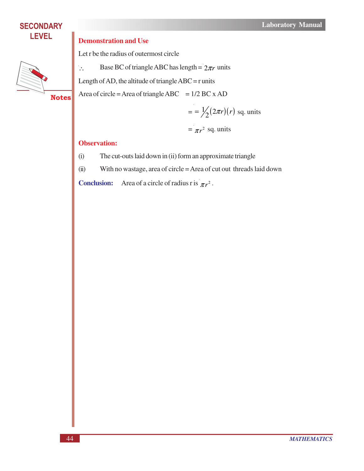Notes

### **Demonstration and Use**

Let r be the radius of outermost circle

∴ Base BC of triangle ABC has length = 2π*r* units

Length of AD, the altitude of triangle  $ABC = r$  units

Area of circle = Area of triangle  $ABC = 1/2 BC \times AD$ 

 $= \frac{1}{2} (2\pi r) (r)$  sq. units

 $= \pi r^2$  sq. units

### **Observation:**

- (i) The cut-outs laid down in (ii) form an approximate triangle
- (ii) With no wastage, area of circle = Area of cut out threads laid down

**Conclusion:** Area of a circle of radius r is  $\pi r^2$ .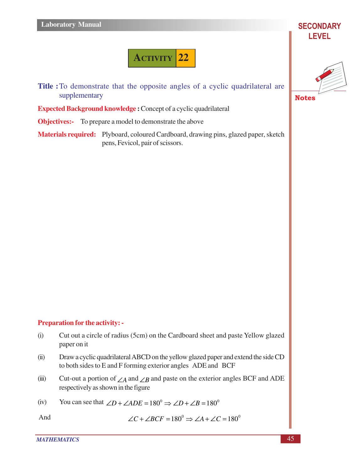| VI.<br>M.<br>œ<br>н<br>. . |  |
|----------------------------|--|
|                            |  |

- **Title :**To demonstrate that the opposite angles of a cyclic quadrilateral are supplementary
- **Expected Background knowledge :** Concept of a cyclic quadrilateral
- **Objectives:** To prepare a model to demonstrate the above
- **Materials required:** Plyboard, coloured Cardboard, drawing pins, glazed paper, sketch pens, Fevicol, pair of scissors.

#### **Preparation for the activity: -**

- (i) Cut out a circle of radius (5cm) on the Cardboard sheet and paste Yellow glazed paper on it
- (ii) Draw a cyclic quadrilateral ABCD on the yellow glazed paper and extend the side CD to both sides to E and F forming exterior angles ADE and BCF
- (iii) Cut-out a portion of ∠*A* and ∠*B* and paste on the exterior angles BCF and ADE respectively as shown in the figure
- (iv) You can see that  $\angle D + \angle ADE = 180^\circ \Rightarrow \angle D + \angle B = 180^\circ$

And

 $\angle C + \angle BCF = 180^\circ \Rightarrow \angle A + \angle C = 180^\circ$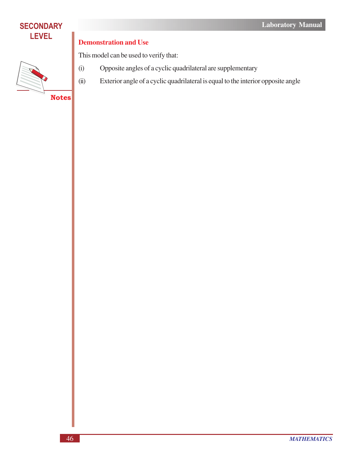### **Demonstration and Use**

This model can be used to verify that:

- (i) Opposite angles of a cyclic quadrilateral are supplementary
- (ii) Exterior angle of a cyclic quadrilateral is equal to the interior opposite angle

Notes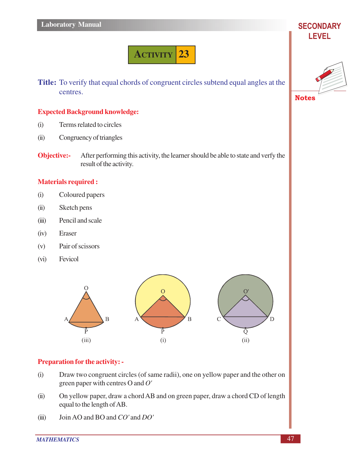

**Title:** To verify that equal chords of congruent circles subtend equal angles at the centres.

#### **Expected Background knowledge:**

- (i) Terms related to circles
- (ii) Congruency of triangles
- **Objective:** After performing this activity, the learner should be able to state and verfy the result of the activity.

#### **Materials required :**

- (i) Coloured papers
- (ii) Sketch pens
- (iii) Pencil and scale
- (iv) Eraser
- (v) Pair of scissors
- (vi) Fevicol



#### **Preparation for the activity: -**

- (i) Draw two congruent circles (of same radii), one on yellow paper and the other on green paper with centres O and *O'*
- (ii) On yellow paper, draw a chord AB and on green paper, draw a chord CD of length equal to the length of AB.
- (iii) Join AO and BO and *CO'* and *DO'*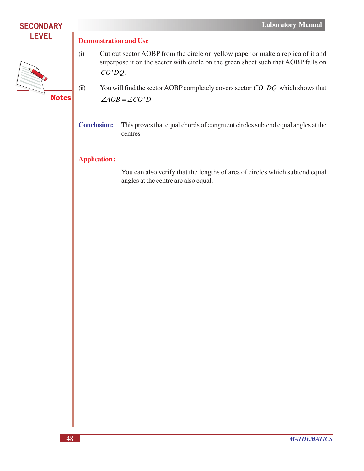### **Demonstration and Use**

- (i) Cut out sector AOBP from the circle on yellow paper or make a replica of it and superpose it on the sector with circle on the green sheet such that AOBP falls on *CO DQ* ' .
- **Notes**
- (ii) You will find the sector AOBP completely covers sector *CO DQ* ' which shows that  $\angle AOB = \angle CO'D$ 
	- **Conclusion:** This proves that equal chords of congruent circles subtend equal angles at the centres

### **Application :**

You can also verify that the lengths of arcs of circles which subtend equal angles at the centre are also equal.

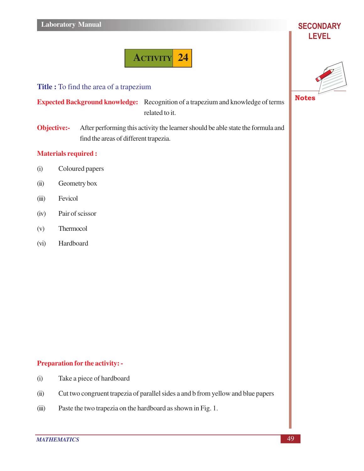# **ACTIVITY 24**

#### **Title :** To find the area of a trapezium

**Expected Background knowledge:** Recognition of a trapezium and knowledge of terms related to it.

**Objective:** After performing this activity the learner should be able state the formula and find the areas of different trapezia.

#### **Materials required :**

- (i) Coloured papers
- (ii) Geometry box
- (iii) Fevicol
- (iv) Pair of scissor
- (v) Thermocol
- (vi) Hardboard

### **Preparation for the activity: -**

- (i) Take a piece of hardboard
- (ii) Cut two congruent trapezia of parallel sides a and b from yellow and blue papers
- (iii) Paste the two trapezia on the hardboard as shown in Fig. 1.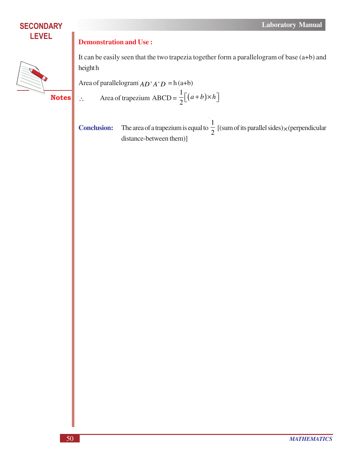### **Demonstration and Use :**



It can be easily seen that the two trapezia together form a parallelogram of base (a+b) and height h

Area of parallelogram  $AD' A'D = h(a+b)$ ∴ Area of trapezium ABCD =  $\frac{1}{2} [(a+b)\times h]$ 

**Notes** 

**Conclusion:** The area of a trapezium is equal to 1  $\frac{1}{2}$  [(sum of its parallel sides) $\times$ (perpendicular distance-between them)]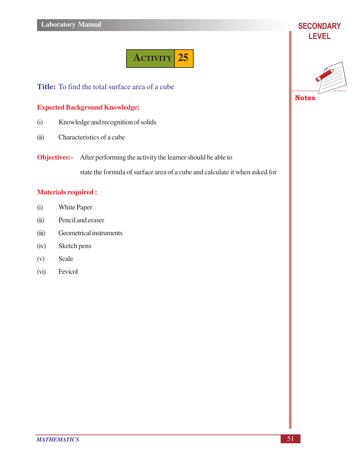

**Title:** To find the total surface area of a cube

### **Expected Background Knowledge:**

- (i) Knowledge and recognition of solids
- (ii) Characteristics of a cube
- **Objectives:** After performing the activity the learner should be able to

state the formula of surface area of a cube and calculate it when asked for

### **Materials required :**

- (i) White Paper
- (ii) Pencil and eraser
- (iii) Geometrical instruments
- (iv) Sketch pens
- (v) Scale
- (vi) Fevicol

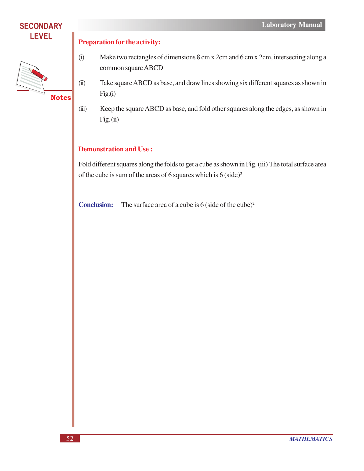### **Preparation for the activity:**

- (i) Make two rectangles of dimensions 8 cm x 2cm and 6 cm x 2cm, intersecting along a common square ABCD
- (ii) Take square ABCD as base, and draw lines showing six different squares as shown in Fig.(i)
- (iii) Keep the square ABCD as base, and fold other squares along the edges, as shown in Fig. (ii)

### **Demonstration and Use :**

Fold different squares along the folds to get a cube as shown in Fig. (iii) The total surface area of the cube is sum of the areas of 6 squares which is 6 (side)<sup>2</sup>

**Conclusion:** The surface area of a cube is 6 (side of the cube)<sup>2</sup>

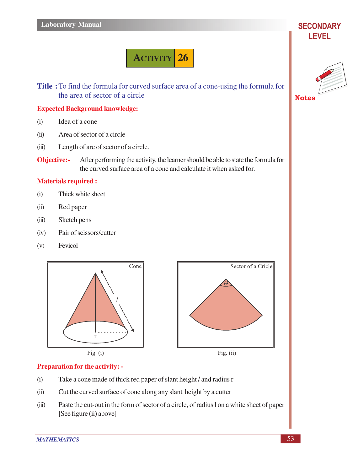

**Title :**To find the formula for curved surface area of a cone-using the formula for the area of sector of a circle

#### **Expected Background knowledge:**

- (i) Idea of a cone
- (ii) Area of sector of a circle
- (iii) Length of arc of sector of a circle.
- **Objective:** After performing the activity, the learner should be able to state the formula for the curved surface area of a cone and calculate it when asked for.

#### **Materials required :**

- (i) Thick white sheet
- (ii) Red paper
- (iii) Sketch pens
- (iv) Pair of scissors/cutter
- (v) Fevicol





#### **Preparation for the activity: -**

- (i) Take a cone made of thick red paper of slant height *l* and radius r
- (ii) Cut the curved surface of cone along any slant height by a cutter
- (iii) Paste the cut-out in the form of sector of a circle, of radius l on a white sheet of paper [See figure (ii) above]

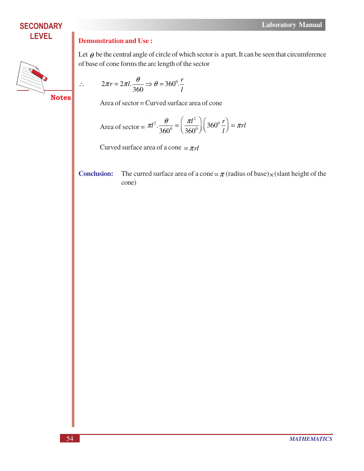### **Demonstration and Use :**



**Notes** 

Let  $\theta$  be the central angle of circle of which sector is a part. It can be seen that circumference of base of cone forms the arc length of the sector

$$
\therefore \qquad 2\pi r = 2\pi l. \frac{\theta}{360} \Rightarrow \theta = 360^{\circ}. \frac{r}{l}
$$

Area of sector = Curved surface area of cone

Area of sector = 
$$
\pi l^2 \cdot \frac{\theta}{360^\circ} = \left(\frac{\pi l^2}{360^\circ}\right) \left(360^\circ \frac{r}{l}\right) = \pi rl
$$

Curved surface area of a cone  $= \pi r l$ 

**Conclusion:** The curred surface area of a cone =  $\pi$  (radius of base) $\times$  (slant height of the cone)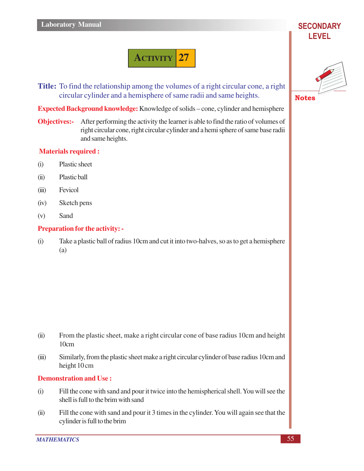

**Title:** To find the relationship among the volumes of a right circular cone, a right circular cylinder and a hemisphere of same radii and same heights.

**Expected Background knowledge:** Knowledge of solids – cone, cylinder and hemisphere

**Objectives:** After performing the activity the learner is able to find the ratio of volumes of right circular cone, right circular cylinder and a hemi sphere of same base radii and same heights.

#### **Materials required :**

- (i) Plastic sheet
- (ii) Plastic ball
- (iii) Fevicol
- (iv) Sketch pens
- (v) Sand

#### **Preparation for the activity: -**

(i) Take a plastic ball of radius 10cm and cut it into two-halves, so as to get a hemisphere (a)

- (ii) From the plastic sheet, make a right circular cone of base radius 10cm and height 10cm
- (iii) Similarly, from the plastic sheet make a right circular cylinder of base radius 10cm and height 10 cm

#### **Demonstration and Use :**

- (i) Fill the cone with sand and pour it twice into the hemispherical shell. You will see the shell is full to the brim with sand
- (ii) Fill the cone with sand and pour it 3 times in the cylinder. You will again see that the cylinder is full to the brim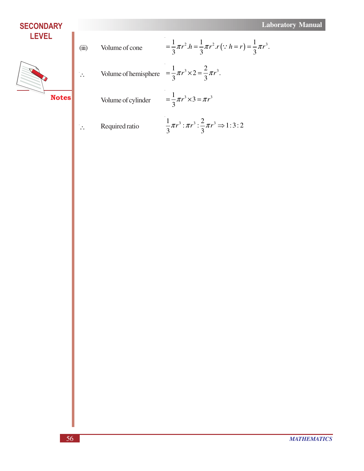

(iii) Volume of cone  $= \frac{1}{2}\pi r^2 h = \frac{1}{2}\pi r^2 r (t \cdot h = r) = \frac{1}{2}\pi r^3$ . 3 3 3  $=\frac{1}{2}\pi r^2 h = \frac{1}{2}\pi r^2 r (r^2 h = r) = \frac{1}{2}\pi r^2$ ∴ Volume of hemisphere  $= \frac{1}{2} \pi r^3 \times 2 = \frac{2}{3} \pi r^3$ . 3 3  $=\frac{1}{2}\pi r^3 \times 2 = \frac{2}{3}\pi r$ Volume of cylinder  $= \frac{1}{2}\pi r^3 \times 3 = \pi r^3$ 3  $=\frac{1}{2}\pi r^3 \times 3 = \pi r$ ∴ Required ratio  $\frac{1}{2}\pi r^3$ :  $\pi r^3$ :  $\frac{2}{3}\pi r^3$   $\Rightarrow$  1:3:2  $\pi r^3$  :  $\pi r^3$  :  $\frac{2}{3}\pi r^3 \Rightarrow$ 

3 3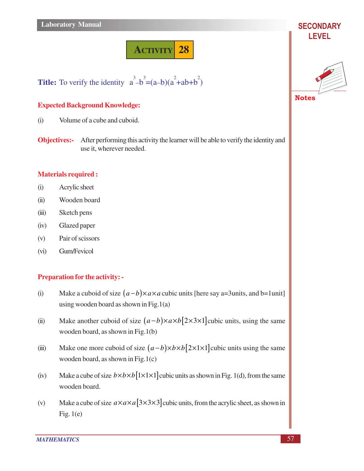**ACTIVITY 28**

## **Title:** To verify the identity  $a^3-b^3 = (a-b)(a^2+ab+b^2)$

#### **Expected Background Knowledge:**

- (i) Volume of a cube and cuboid.
- **Objectives:** After performing this activity the learner will be able to verify the identity and use it, wherever needed.

#### **Materials required :**

- (i) Acrylic sheet
- (ii) Wooden board
- (iii) Sketch pens
- (iv) Glazed paper
- (v) Pair of scissors
- (vi) Gum/Fevicol

#### **Preparation for the activity: -**

- (i) Make a cuboid of size  $(a b) \times a \times a$  cubic units [here say a=3units, and b=1unit] using wooden board as shown in Fig.1(a)
- (ii) Make another cuboid of size  $(a b) \times a \times b [2 \times 3 \times 1]$ cubic units, using the same wooden board, as shown in Fig.1(b)
- (iii) Make one more cuboid of size  $(a b) \times b \times b$  [2×1×1]cubic units using the same wooden board, as shown in Fig.1(c)
- (iv) Make a cube of size  $b \times b \times b$  [1×1×1] cubic units as shown in Fig. 1(d), from the same wooden board.
- (v) Make a cube of size  $a \times a \times a$  [3 $\times$ 3 $\times$ 3] cubic units, from the acrylic sheet, as shown in Fig.  $1(e)$

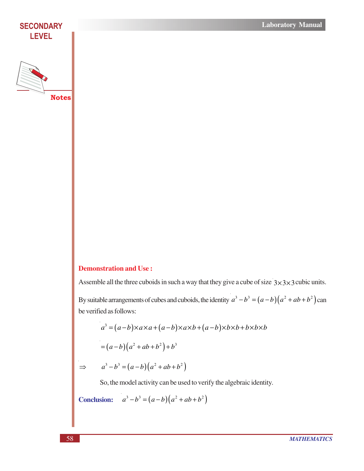

### **Demonstration and Use :**

Assemble all the three cuboids in such a way that they give a cube of size  $3 \times 3 \times 3$  cubic units.

By suitable arrangements of cubes and cuboids, the identity  $a^3 - b^3 = (a - b)(a^2 + ab + b^2)$  can be verified as follows:

$$
a3 = (a - b) \times a \times a + (a - b) \times a \times b + (a - b) \times b \times b + b \times b \times b
$$
  
=  $(a - b)(a2 + ab + b2) + b3$ 

 $\Rightarrow a^3-b^3=(a-b)(a^2+ab+b^2)$ 

So, the model activity can be used to verify the algebraic identity.

**Conclusion:**  $a^3-b^3 = (a-b)(a^2+ab+b^2)$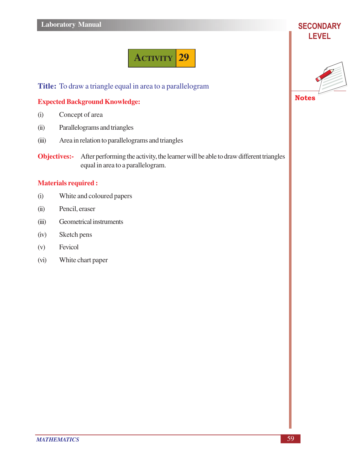

**Title:** To draw a triangle equal in area to a parallelogram

#### **Expected Background Knowledge:**

- (i) Concept of area
- (ii) Parallelograms and triangles
- (iii) Area in relation to parallelograms and triangles
- **Objectives:** After performing the activity, the learner will be able to draw different triangles equal in area to a parallelogram.

### **Materials required :**

- (i) White and coloured papers
- (ii) Pencil, eraser
- (iii) Geometrical instruments
- (iv) Sketch pens
- (v) Fevicol
- (vi) White chart paper

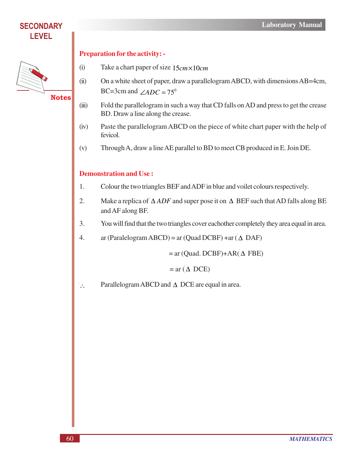**Notes** 

**Preparation for the activity: -**

- (i) Take a chart paper of size  $15 cm \times 10 cm$
- (ii) On a white sheet of paper, draw a parallelogram ABCD, with dimensions AB=4cm, BC=3cm and  $\angle ADC = 75^\circ$
- (iii) Fold the parallelogram in such a way that CD falls on AD and press to get the crease BD. Draw a line along the crease.
- (iv) Paste the parallelogram ABCD on the piece of white chart paper with the help of fevicol.
- (v) Through A, draw a line AE parallel to BD to meet CB produced in E. Join DE.

### **Demonstration and Use :**

- 1. Colour the two triangles BEF and ADF in blue and voilet colours respectively.
- 2. Make a replica of ∆ *ADF* and super pose it on ∆ BEF such that AD falls along BE and AF along BF.
- 3. You will find that the two triangles cover eachother completely they area equal in area.
- 4. ar (Paralelogram ABCD) = ar (Quad DCBF) + ar  $(\Delta$  DAF)

 $=$ ar (Quad. DCBF)+AR( $\triangle$ FBE)

 $=$  ar ( $\triangle$  DCE)

∴ Parallelogram ABCD and ∆ DCE are equal in area.